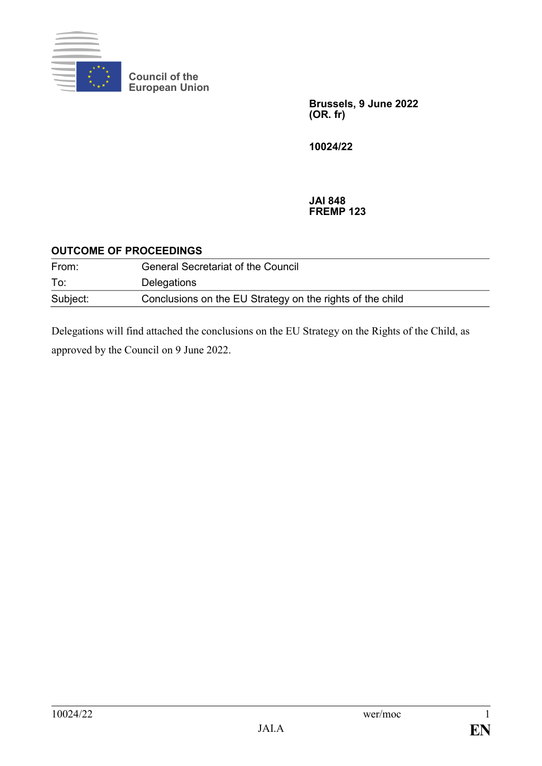

**Council of the European Union**

> **Brussels, 9 June 2022 (OR. fr)**

**10024/22**

#### **JAI 848 FREMP 123**

# **OUTCOME OF PROCEEDINGS**

| From:    | <b>General Secretariat of the Council</b>                 |
|----------|-----------------------------------------------------------|
| To:      | Delegations                                               |
| Subject: | Conclusions on the EU Strategy on the rights of the child |

Delegations will find attached the conclusions on the EU Strategy on the Rights of the Child, as approved by the Council on 9 June 2022.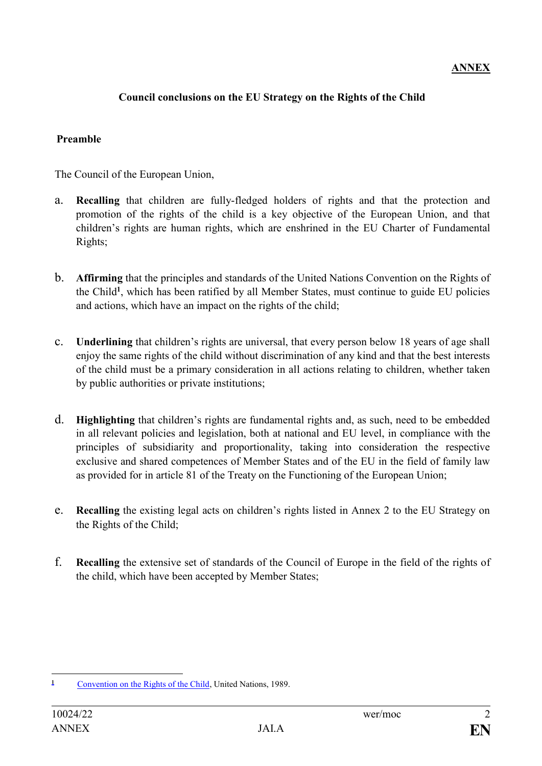# **ANNEX**

## **Council conclusions on the EU Strategy on the Rights of the Child**

### **Preamble**

The Council of the European Union,

- a. **Recalling** that children are fully-fledged holders of rights and that the protection and promotion of the rights of the child is a key objective of the European Union, and that children's rights are human rights, which are enshrined in the EU Charter of Fundamental Rights;
- b. **Affirming** that the principles and standards of the United Nations Convention on the Rights of the Child**<sup>1</sup>** , which has been ratified by all Member States, must continue to guide EU policies and actions, which have an impact on the rights of the child;
- c. **Underlining** that children's rights are universal, that every person below 18 years of age shall enjoy the same rights of the child without discrimination of any kind and that the best interests of the child must be a primary consideration in all actions relating to children, whether taken by public authorities or private institutions;
- d. **Highlighting** that children's rights are fundamental rights and, as such, need to be embedded in all relevant policies and legislation, both at national and EU level, in compliance with the principles of subsidiarity and proportionality, taking into consideration the respective exclusive and shared competences of Member States and of the EU in the field of family law as provided for in article 81 of the Treaty on the Functioning of the European Union;
- e. **Recalling** the existing legal acts on children's rights listed in Annex 2 to the EU Strategy on the Rights of the Child;
- f. **Recalling** the extensive set of standards of the Council of Europe in the field of the rights of the child, which have been accepted by Member States;

 $\mathbf{1}$ **<sup>1</sup>** [Convention on the Rights of the Child,](https://www.ohchr.org/EN/ProfessionalInterest/Pages/CRC.aspx) United Nations, 1989.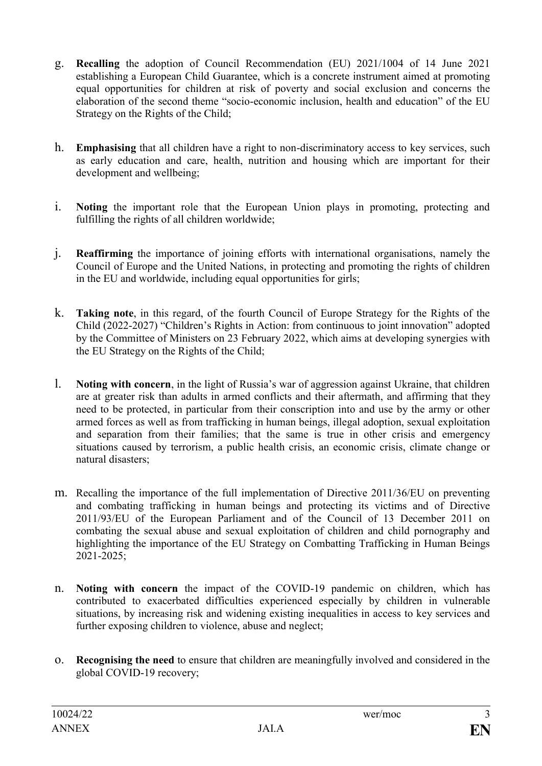- g. **Recalling** the adoption of Council Recommendation (EU) 2021/1004 of 14 June 2021 establishing a European Child Guarantee, which is a concrete instrument aimed at promoting equal opportunities for children at risk of poverty and social exclusion and concerns the elaboration of the second theme "socio-economic inclusion, health and education" of the EU Strategy on the Rights of the Child;
- h. **Emphasising** that all children have a right to non-discriminatory access to key services, such as early education and care, health, nutrition and housing which are important for their development and wellbeing;
- i. **Noting** the important role that the European Union plays in promoting, protecting and fulfilling the rights of all children worldwide;
- j. **Reaffirming** the importance of joining efforts with international organisations, namely the Council of Europe and the United Nations, in protecting and promoting the rights of children in the EU and worldwide, including equal opportunities for girls;
- k. **Taking note**, in this regard, of the fourth Council of Europe Strategy for the Rights of the Child (2022-2027) "Children's Rights in Action: from continuous to joint innovation" adopted by the Committee of Ministers on 23 February 2022, which aims at developing synergies with the EU Strategy on the Rights of the Child;
- l. **Noting with concern**, in the light of Russia's war of aggression against Ukraine, that children are at greater risk than adults in armed conflicts and their aftermath, and affirming that they need to be protected, in particular from their conscription into and use by the army or other armed forces as well as from trafficking in human beings, illegal adoption, sexual exploitation and separation from their families; that the same is true in other crisis and emergency situations caused by terrorism, a public health crisis, an economic crisis, climate change or natural disasters;
- m. Recalling the importance of the full implementation of Directive 2011/36/EU on preventing and combating trafficking in human beings and protecting its victims and of Directive 2011/93/EU of the European Parliament and of the Council of 13 December 2011 on combating the sexual abuse and sexual exploitation of children and child pornography and highlighting the importance of the EU Strategy on Combatting Trafficking in Human Beings 2021-2025;
- n. **Noting with concern** the impact of the COVID-19 pandemic on children, which has contributed to exacerbated difficulties experienced especially by children in vulnerable situations, by increasing risk and widening existing inequalities in access to key services and further exposing children to violence, abuse and neglect;
- o. **Recognising the need** to ensure that children are meaningfully involved and considered in the global COVID-19 recovery;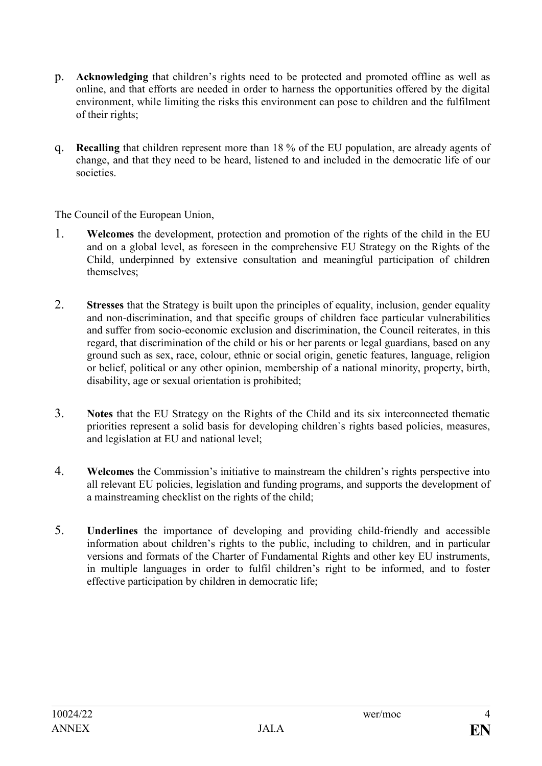- p. **Acknowledging** that children's rights need to be protected and promoted offline as well as online, and that efforts are needed in order to harness the opportunities offered by the digital environment, while limiting the risks this environment can pose to children and the fulfilment of their rights;
- q. **Recalling** that children represent more than 18 % of the EU population, are already agents of change, and that they need to be heard, listened to and included in the democratic life of our societies.

The Council of the European Union,

- 1. **Welcomes** the development, protection and promotion of the rights of the child in the EU and on a global level, as foreseen in the comprehensive EU Strategy on the Rights of the Child, underpinned by extensive consultation and meaningful participation of children themselves;
- 2. **Stresses** that the Strategy is built upon the principles of equality, inclusion, gender equality and non-discrimination, and that specific groups of children face particular vulnerabilities and suffer from socio-economic exclusion and discrimination, the Council reiterates, in this regard, that discrimination of the child or his or her parents or legal guardians, based on any ground such as sex, race, colour, ethnic or social origin, genetic features, language, religion or belief, political or any other opinion, membership of a national minority, property, birth, disability, age or sexual orientation is prohibited;
- 3. **Notes** that the EU Strategy on the Rights of the Child and its six interconnected thematic priorities represent a solid basis for developing children`s rights based policies, measures, and legislation at EU and national level;
- 4. **Welcomes** the Commission's initiative to mainstream the children's rights perspective into all relevant EU policies, legislation and funding programs, and supports the development of a mainstreaming checklist on the rights of the child;
- 5. **Underlines** the importance of developing and providing child-friendly and accessible information about children's rights to the public, including to children, and in particular versions and formats of the Charter of Fundamental Rights and other key EU instruments, in multiple languages in order to fulfil children's right to be informed, and to foster effective participation by children in democratic life;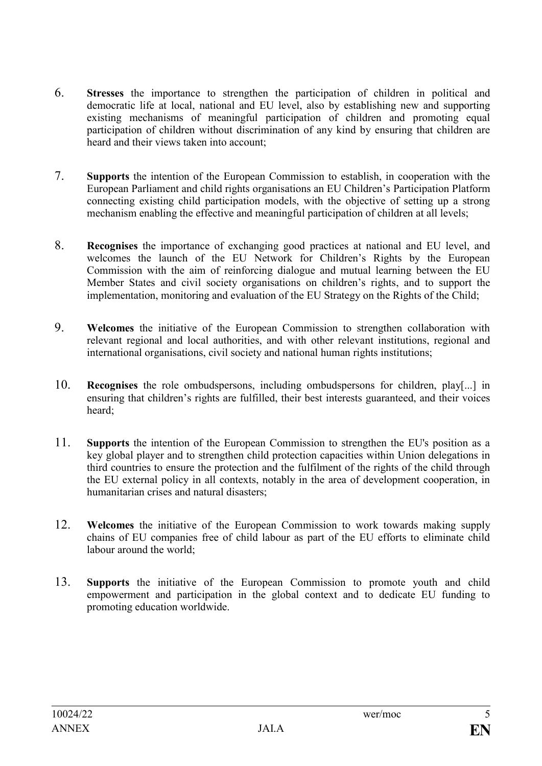- 6. **Stresses** the importance to strengthen the participation of children in political and democratic life at local, national and EU level, also by establishing new and supporting existing mechanisms of meaningful participation of children and promoting equal participation of children without discrimination of any kind by ensuring that children are heard and their views taken into account;
- 7. **Supports** the intention of the European Commission to establish, in cooperation with the European Parliament and child rights organisations an EU Children's Participation Platform connecting existing child participation models, with the objective of setting up a strong mechanism enabling the effective and meaningful participation of children at all levels;
- 8. **Recognises** the importance of exchanging good practices at national and EU level, and welcomes the launch of the EU Network for Children's Rights by the European Commission with the aim of reinforcing dialogue and mutual learning between the EU Member States and civil society organisations on children's rights, and to support the implementation, monitoring and evaluation of the EU Strategy on the Rights of the Child;
- 9. **Welcomes** the initiative of the European Commission to strengthen collaboration with relevant regional and local authorities, and with other relevant institutions, regional and international organisations, civil society and national human rights institutions;
- 10. **Recognises** the role ombudspersons, including ombudspersons for children, play[...] in ensuring that children's rights are fulfilled, their best interests guaranteed, and their voices heard;
- 11. **Supports** the intention of the European Commission to strengthen the EU's position as a key global player and to strengthen child protection capacities within Union delegations in third countries to ensure the protection and the fulfilment of the rights of the child through the EU external policy in all contexts, notably in the area of development cooperation, in humanitarian crises and natural disasters;
- 12. **Welcomes** the initiative of the European Commission to work towards making supply chains of EU companies free of child labour as part of the EU efforts to eliminate child labour around the world;
- 13. **Supports** the initiative of the European Commission to promote youth and child empowerment and participation in the global context and to dedicate EU funding to promoting education worldwide.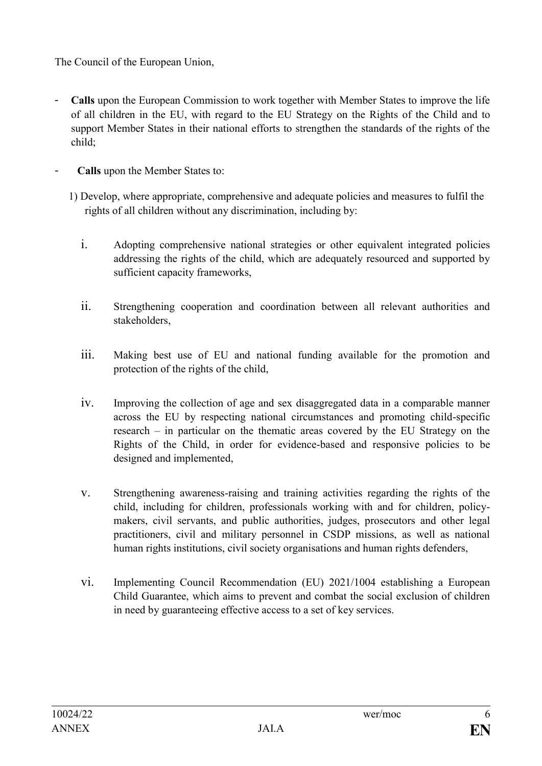The Council of the European Union,

- Calls upon the European Commission to work together with Member States to improve the life of all children in the EU, with regard to the EU Strategy on the Rights of the Child and to support Member States in their national efforts to strengthen the standards of the rights of the child;
- **Calls** upon the Member States to:
	- 1) Develop, where appropriate, comprehensive and adequate policies and measures to fulfil the rights of all children without any discrimination, including by:
		- i. Adopting comprehensive national strategies or other equivalent integrated policies addressing the rights of the child, which are adequately resourced and supported by sufficient capacity frameworks,
		- ii. Strengthening cooperation and coordination between all relevant authorities and stakeholders,
		- iii. Making best use of EU and national funding available for the promotion and protection of the rights of the child,
		- iv. Improving the collection of age and sex disaggregated data in a comparable manner across the EU by respecting national circumstances and promoting child-specific research – in particular on the thematic areas covered by the EU Strategy on the Rights of the Child, in order for evidence-based and responsive policies to be designed and implemented,
		- v. Strengthening awareness-raising and training activities regarding the rights of the child, including for children, professionals working with and for children, policymakers, civil servants, and public authorities, judges, prosecutors and other legal practitioners, civil and military personnel in CSDP missions, as well as national human rights institutions, civil society organisations and human rights defenders,
		- vi. Implementing Council Recommendation (EU) 2021/1004 establishing a European Child Guarantee, which aims to prevent and combat the social exclusion of children in need by guaranteeing effective access to a set of key services.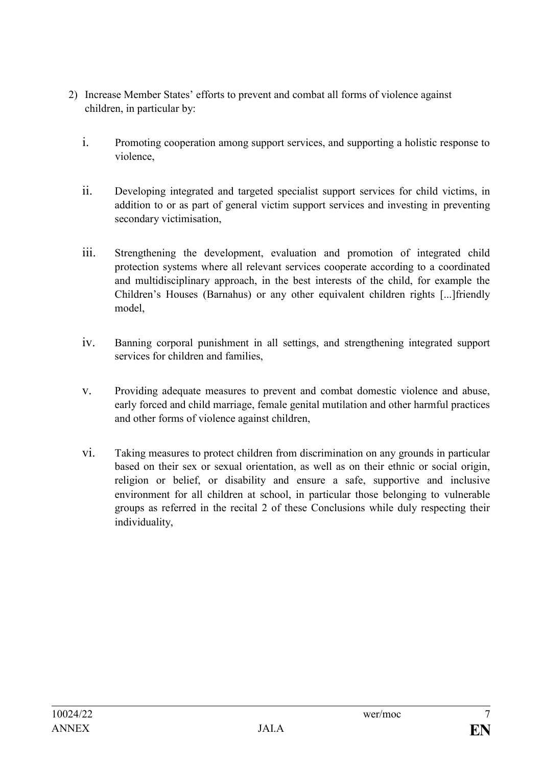- 2) Increase Member States' efforts to prevent and combat all forms of violence against children, in particular by:
	- i. Promoting cooperation among support services, and supporting a holistic response to violence,
	- ii. Developing integrated and targeted specialist support services for child victims, in addition to or as part of general victim support services and investing in preventing secondary victimisation,
	- iii. Strengthening the development, evaluation and promotion of integrated child protection systems where all relevant services cooperate according to a coordinated and multidisciplinary approach, in the best interests of the child, for example the Children's Houses (Barnahus) or any other equivalent children rights [...]friendly model,
	- iv. Banning corporal punishment in all settings, and strengthening integrated support services for children and families,
	- v. Providing adequate measures to prevent and combat domestic violence and abuse, early forced and child marriage, female genital mutilation and other harmful practices and other forms of violence against children,
	- vi. Taking measures to protect children from discrimination on any grounds in particular based on their sex or sexual orientation, as well as on their ethnic or social origin, religion or belief, or disability and ensure a safe, supportive and inclusive environment for all children at school, in particular those belonging to vulnerable groups as referred in the recital 2 of these Conclusions while duly respecting their individuality,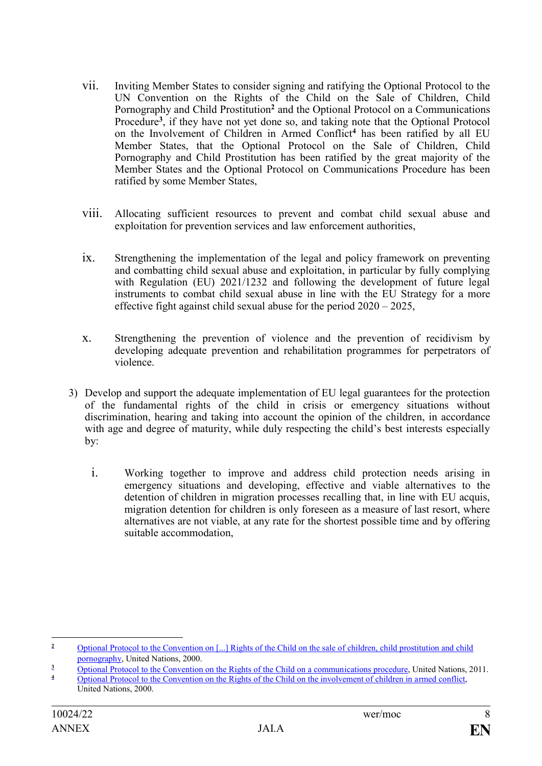- vii. Inviting Member States to consider signing and ratifying the Optional Protocol to the UN Convention on the Rights of the Child on the Sale of Children, Child Pornography and Child Prostitution**<sup>2</sup>** and the Optional Protocol on a Communications Procedure**<sup>3</sup>** , if they have not yet done so, and taking note that the Optional Protocol on the Involvement of Children in Armed Conflict**<sup>4</sup>** has been ratified by all EU Member States, that the Optional Protocol on the Sale of Children, Child Pornography and Child Prostitution has been ratified by the great majority of the Member States and the Optional Protocol on Communications Procedure has been ratified by some Member States,
- viii. Allocating sufficient resources to prevent and combat child sexual abuse and exploitation for prevention services and law enforcement authorities,
- ix. Strengthening the implementation of the legal and policy framework on preventing and combatting child sexual abuse and exploitation, in particular by fully complying with Regulation (EU) 2021/1232 and following the development of future legal instruments to combat child sexual abuse in line with the EU Strategy for a more effective fight against child sexual abuse for the period 2020 – 2025,
- x. Strengthening the prevention of violence and the prevention of recidivism by developing adequate prevention and rehabilitation programmes for perpetrators of violence.
- 3) Develop and support the adequate implementation of EU legal guarantees for the protection of the fundamental rights of the child in crisis or emergency situations without discrimination, hearing and taking into account the opinion of the children, in accordance with age and degree of maturity, while duly respecting the child's best interests especially by:
	- i. Working together to improve and address child protection needs arising in emergency situations and developing, effective and viable alternatives to the detention of children in migration processes recalling that, in line with EU acquis, migration detention for children is only foreseen as a measure of last resort, where alternatives are not viable, at any rate for the shortest possible time and by offering suitable accommodation,

 $\overline{2}$ **<sup>2</sup>** [Optional Protocol to the Convention on \[...\] Rights of the Child on the sale of children, child prostitution and child](https://treaties.un.org/Pages/ViewDetails.aspx?src=TREATY&mtdsg_no=IV-11-c&chapter=4&clang=_en)  [pornography,](https://treaties.un.org/Pages/ViewDetails.aspx?src=TREATY&mtdsg_no=IV-11-c&chapter=4&clang=_en) United Nations, 2000.

**<sup>3</sup>** [Optional Protocol to the Convention on the Rights of the Child on a communications procedure,](https://treaties.un.org/Pages/ViewDetails.aspx?src=TREATY&mtdsg_no=IV-11-d&chapter=4) United Nations, 2011.

**<sup>4</sup>** [Optional Protocol to the Convention on the Rights of the Child on the involvement of children in armed conflict,](https://treaties.un.org/Pages/ViewDetails.aspx?src=TREATY&mtdsg_no=IV-11-b&chapter=4&clang=_en)

United Nations, 2000.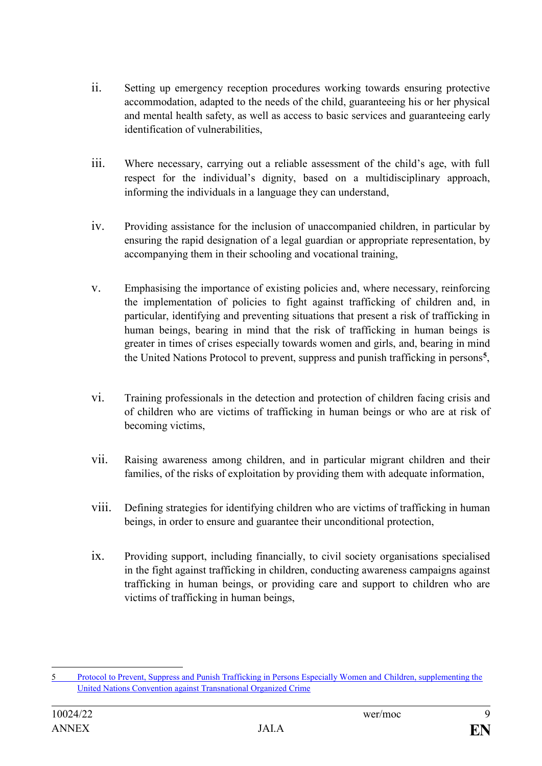- ii. Setting up emergency reception procedures working towards ensuring protective accommodation, adapted to the needs of the child, guaranteeing his or her physical and mental health safety, as well as access to basic services and guaranteeing early identification of vulnerabilities,
- iii. Where necessary, carrying out a reliable assessment of the child's age, with full respect for the individual's dignity, based on a multidisciplinary approach, informing the individuals in a language they can understand,
- iv. Providing assistance for the inclusion of unaccompanied children, in particular by ensuring the rapid designation of a legal guardian or appropriate representation, by accompanying them in their schooling and vocational training,
- v. Emphasising the importance of existing policies and, where necessary, reinforcing the implementation of policies to fight against trafficking of children and, in particular, identifying and preventing situations that present a risk of trafficking in human beings, bearing in mind that the risk of trafficking in human beings is greater in times of crises especially towards women and girls, and, bearing in mind the United Nations Protocol to prevent, suppress and punish trafficking in persons**<sup>5</sup>** ,
- vi. Training professionals in the detection and protection of children facing crisis and of children who are victims of trafficking in human beings or who are at risk of becoming victims,
- vii. Raising awareness among children, and in particular migrant children and their families, of the risks of exploitation by providing them with adequate information,
- viii. Defining strategies for identifying children who are victims of trafficking in human beings, in order to ensure and guarantee their unconditional protection,
- ix. Providing support, including financially, to civil society organisations specialised in the fight against trafficking in children, conducting awareness campaigns against trafficking in human beings, or providing care and support to children who are victims of trafficking in human beings,

<sup>1</sup> 5 [Protocol to Prevent, Suppress and Punish Trafficking in Persons Especially Women and](https://www.ohchr.org/en/instruments-mechanisms/instruments/protocol-prevent-suppress-and-punish-trafficking-persons) Children, supplementing the [United Nations Convention against Transnational Organized Crime](https://www.ohchr.org/en/instruments-mechanisms/instruments/protocol-prevent-suppress-and-punish-trafficking-persons)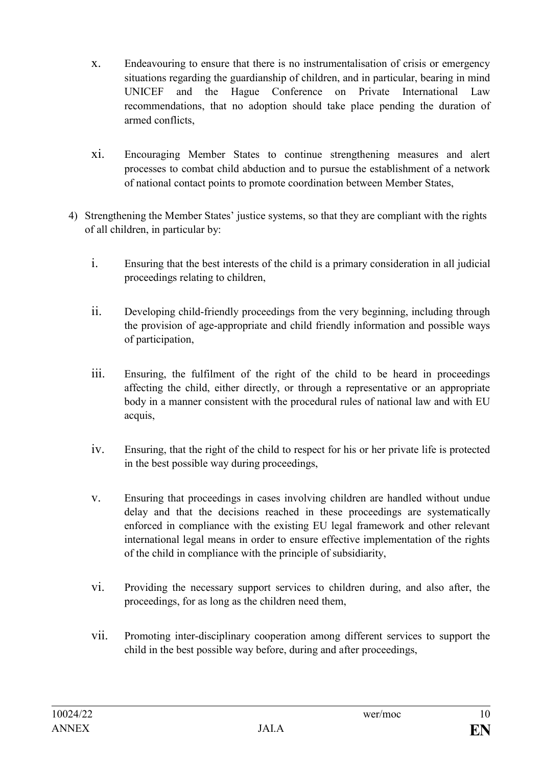- x. Endeavouring to ensure that there is no instrumentalisation of crisis or emergency situations regarding the guardianship of children, and in particular, bearing in mind UNICEF and the Hague Conference on Private International Law recommendations, that no adoption should take place pending the duration of armed conflicts,
- xi. Encouraging Member States to continue strengthening measures and alert processes to combat child abduction and to pursue the establishment of a network of national contact points to promote coordination between Member States,
- 4) Strengthening the Member States' justice systems, so that they are compliant with the rights of all children, in particular by:
	- i. Ensuring that the best interests of the child is a primary consideration in all judicial proceedings relating to children,
	- ii. Developing child-friendly proceedings from the very beginning, including through the provision of age-appropriate and child friendly information and possible ways of participation,
	- iii. Ensuring, the fulfilment of the right of the child to be heard in proceedings affecting the child, either directly, or through a representative or an appropriate body in a manner consistent with the procedural rules of national law and with EU acquis,
	- iv. Ensuring, that the right of the child to respect for his or her private life is protected in the best possible way during proceedings,
	- v. Ensuring that proceedings in cases involving children are handled without undue delay and that the decisions reached in these proceedings are systematically enforced in compliance with the existing EU legal framework and other relevant international legal means in order to ensure effective implementation of the rights of the child in compliance with the principle of subsidiarity,
	- vi. Providing the necessary support services to children during, and also after, the proceedings, for as long as the children need them,
	- vii. Promoting inter-disciplinary cooperation among different services to support the child in the best possible way before, during and after proceedings,